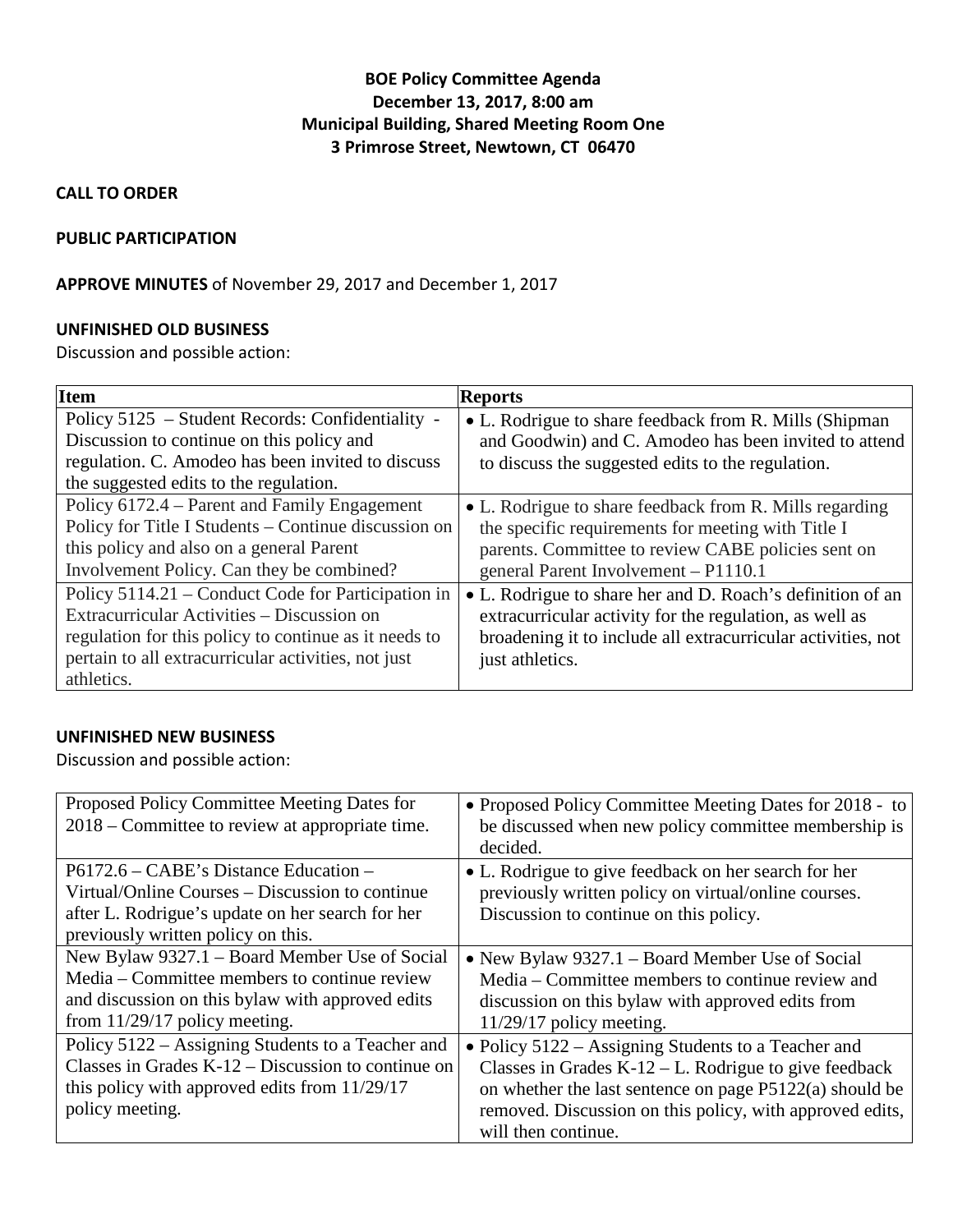# **BOE Policy Committee Agenda December 13, 2017, 8:00 am Municipal Building, Shared Meeting Room One 3 Primrose Street, Newtown, CT 06470**

## **CALL TO ORDER**

#### **PUBLIC PARTICIPATION**

## **APPROVE MINUTES** of November 29, 2017 and December 1, 2017

#### **UNFINISHED OLD BUSINESS**

Discussion and possible action:

| <b>Item</b>                                           | <b>Reports</b>                                               |
|-------------------------------------------------------|--------------------------------------------------------------|
| Policy 5125 - Student Records: Confidentiality -      | • L. Rodrigue to share feedback from R. Mills (Shipman       |
| Discussion to continue on this policy and             | and Goodwin) and C. Amodeo has been invited to attend        |
| regulation. C. Amodeo has been invited to discuss     | to discuss the suggested edits to the regulation.            |
| the suggested edits to the regulation.                |                                                              |
| Policy 6172.4 – Parent and Family Engagement          | • L. Rodrigue to share feedback from R. Mills regarding      |
| Policy for Title I Students – Continue discussion on  | the specific requirements for meeting with Title I           |
| this policy and also on a general Parent              | parents. Committee to review CABE policies sent on           |
| Involvement Policy. Can they be combined?             | general Parent Involvement - P1110.1                         |
| Policy 5114.21 – Conduct Code for Participation in    | • L. Rodrigue to share her and D. Roach's definition of an   |
| Extracurricular Activities – Discussion on            | extracurricular activity for the regulation, as well as      |
| regulation for this policy to continue as it needs to | broadening it to include all extracurricular activities, not |
| pertain to all extracurricular activities, not just   | just athletics.                                              |
| athletics.                                            |                                                              |

### **UNFINISHED NEW BUSINESS**

Discussion and possible action:

| Proposed Policy Committee Meeting Dates for<br>2018 – Committee to review at appropriate time.                                                                                        | • Proposed Policy Committee Meeting Dates for 2018 - to<br>be discussed when new policy committee membership is<br>decided.                                                                                                                                     |
|---------------------------------------------------------------------------------------------------------------------------------------------------------------------------------------|-----------------------------------------------------------------------------------------------------------------------------------------------------------------------------------------------------------------------------------------------------------------|
| $P6172.6 - CABE$ 's Distance Education –<br>Virtual/Online Courses – Discussion to continue<br>after L. Rodrigue's update on her search for her<br>previously written policy on this. | • L. Rodrigue to give feedback on her search for her<br>previously written policy on virtual/online courses.<br>Discussion to continue on this policy.                                                                                                          |
| New Bylaw 9327.1 – Board Member Use of Social<br>Media – Committee members to continue review<br>and discussion on this bylaw with approved edits<br>from $11/29/17$ policy meeting.  | • New Bylaw 9327.1 – Board Member Use of Social<br>Media – Committee members to continue review and<br>discussion on this bylaw with approved edits from<br>$11/29/17$ policy meeting.                                                                          |
| Policy 5122 – Assigning Students to a Teacher and<br>Classes in Grades $K-12$ – Discussion to continue on<br>this policy with approved edits from $11/29/17$<br>policy meeting.       | • Policy $5122$ – Assigning Students to a Teacher and<br>Classes in Grades $K-12 - L$ . Rodrigue to give feedback<br>on whether the last sentence on page P5122(a) should be<br>removed. Discussion on this policy, with approved edits,<br>will then continue. |